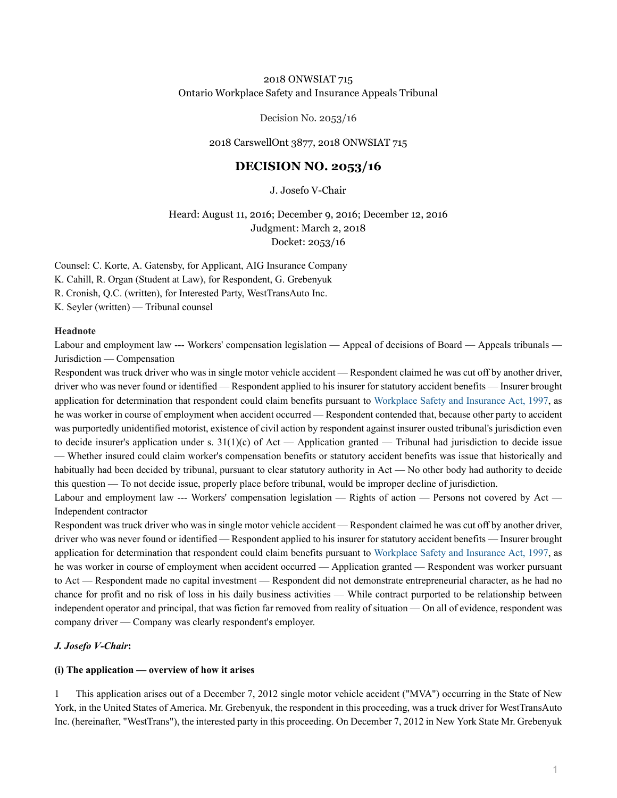## 2018 ONWSIAT 715 Ontario Workplace Safety and Insurance Appeals Tribunal

Decision No. 2053/16

#### 2018 CarswellOnt 3877, 2018 ONWSIAT 715

# **DECISION NO. 2053/16**

J. Josefo V-Chair

Heard: August 11, 2016; December 9, 2016; December 12, 2016 Judgment: March 2, 2018 Docket: 2053/16

Counsel: C. Korte, A. Gatensby, for Applicant, AIG Insurance Company K. Cahill, R. Organ (Student at Law), for Respondent, G. Grebenyuk R. Cronish, Q.C. (written), for Interested Party, WestTransAuto Inc.

K. Seyler (written) — Tribunal counsel

#### **Headnote**

Labour and employment law --- Workers' compensation legislation — Appeal of decisions of Board — Appeals tribunals — Jurisdiction — Compensation

Respondent was truck driver who was in single motor vehicle accident — Respondent claimed he was cut off by another driver, driver who was never found or identified — Respondent applied to his insurer for statutory accident benefits — Insurer brought application for determination that respondent could claim benefits pursuant to [Workplace Safety and Insurance Act, 1997](http://nextcanada.westlaw.com/Link/Document/FullText?findType=Y&serNum=0280676917&pubNum=135310&originatingDoc=I67f8fb571119453fe0540021280d7cce&refType=IG&docFamilyGuid=Ic93fb4bbf4df11d99f28ffa0ae8c2575&targetPreference=DocLanguage%3aEN&originationContext=document&vr=3.0&rs=cblt1.0&transitionType=DocumentItem&contextData=(sc.Search)), as he was worker in course of employment when accident occurred — Respondent contended that, because other party to accident was purportedly unidentified motorist, existence of civil action by respondent against insurer ousted tribunal's jurisdiction even to decide insurer's application under s.  $31(1)(c)$  of Act — Application granted — Tribunal had jurisdiction to decide issue — Whether insured could claim worker's compensation benefits or statutory accident benefits was issue that historically and habitually had been decided by tribunal, pursuant to clear statutory authority in Act — No other body had authority to decide this question — To not decide issue, properly place before tribunal, would be improper decline of jurisdiction.

Labour and employment law --- Workers' compensation legislation — Rights of action — Persons not covered by Act — Independent contractor

Respondent was truck driver who was in single motor vehicle accident — Respondent claimed he was cut off by another driver, driver who was never found or identified — Respondent applied to his insurer for statutory accident benefits — Insurer brought application for determination that respondent could claim benefits pursuant to [Workplace Safety and Insurance Act, 1997](http://nextcanada.westlaw.com/Link/Document/FullText?findType=Y&serNum=0280676917&pubNum=135310&originatingDoc=I67f8fb571119453fe0540021280d7cce&refType=IG&docFamilyGuid=Ic93fb4bbf4df11d99f28ffa0ae8c2575&targetPreference=DocLanguage%3aEN&originationContext=document&vr=3.0&rs=cblt1.0&transitionType=DocumentItem&contextData=(sc.Search)), as he was worker in course of employment when accident occurred — Application granted — Respondent was worker pursuant to Act — Respondent made no capital investment — Respondent did not demonstrate entrepreneurial character, as he had no chance for profit and no risk of loss in his daily business activities — While contract purported to be relationship between independent operator and principal, that was fiction far removed from reality of situation — On all of evidence, respondent was company driver — Company was clearly respondent's employer.

#### *J. Josefo V-Chair***:**

#### **(i) The application — overview of how it arises**

1 This application arises out of a December 7, 2012 single motor vehicle accident ("MVA") occurring in the State of New York, in the United States of America. Mr. Grebenyuk, the respondent in this proceeding, was a truck driver for WestTransAuto Inc. (hereinafter, "WestTrans"), the interested party in this proceeding. On December 7, 2012 in New York State Mr. Grebenyuk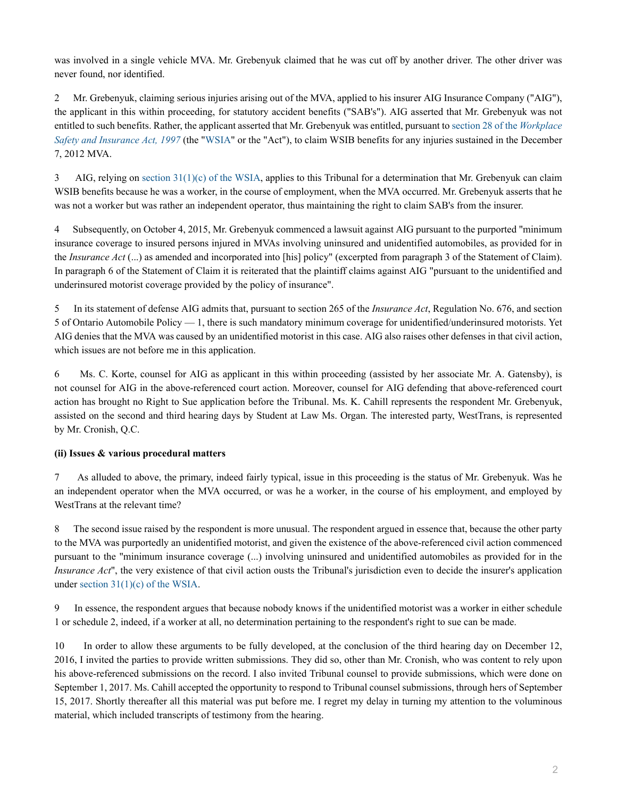was involved in a single vehicle MVA. Mr. Grebenyuk claimed that he was cut off by another driver. The other driver was never found, nor identified.

2 Mr. Grebenyuk, claiming serious injuries arising out of the MVA, applied to his insurer AIG Insurance Company ("AIG"), the applicant in this within proceeding, for statutory accident benefits ("SAB's"). AIG asserted that Mr. Grebenyuk was not entitled to such benefits. Rather, the applicant asserted that Mr. Grebenyuk was entitled, pursuant to [section 28 of the](http://nextcanada.westlaw.com/Link/Document/FullText?findType=Y&serNum=0280676927&pubNum=135310&originatingDoc=I67f8fb571119453fe0540021280d7cce&refType=IG&docFamilyGuid=Ic93fb4c2f4df11d99f28ffa0ae8c2575&targetPreference=DocLanguage%3aEN&originationContext=document&vr=3.0&rs=cblt1.0&transitionType=DocumentItem&contextData=(sc.Search)) *Workplace [Safety and Insurance Act, 1997](http://nextcanada.westlaw.com/Link/Document/FullText?findType=Y&serNum=0280676927&pubNum=135310&originatingDoc=I67f8fb571119453fe0540021280d7cce&refType=IG&docFamilyGuid=Ic93fb4c2f4df11d99f28ffa0ae8c2575&targetPreference=DocLanguage%3aEN&originationContext=document&vr=3.0&rs=cblt1.0&transitionType=DocumentItem&contextData=(sc.Search))* (the "[WSIA](http://nextcanada.westlaw.com/Link/Document/FullText?findType=Y&serNum=0280676917&pubNum=135310&originatingDoc=I67f8fb571119453fe0540021280d7cce&refType=IG&docFamilyGuid=Ic93fb4bbf4df11d99f28ffa0ae8c2575&targetPreference=DocLanguage%3aEN&originationContext=document&vr=3.0&rs=cblt1.0&transitionType=DocumentItem&contextData=(sc.Search))" or the "Act"), to claim WSIB benefits for any injuries sustained in the December 7, 2012 MVA.

3 AIG, relying on [section 31\(1\)\(c\) of the WSIA,](http://nextcanada.westlaw.com/Link/Document/FullText?findType=Y&serNum=0280676930&pubNum=135310&originatingDoc=I67f8fb571119453fe0540021280d7cce&refType=IG&docFamilyGuid=Ic93fb4c3f4df11d99f28ffa0ae8c2575&targetPreference=DocLanguage%3aEN&originationContext=document&vr=3.0&rs=cblt1.0&transitionType=DocumentItem&contextData=(sc.Search)#co_pp_AB0506EA7CC00F13E0540010E03EEFE0) applies to this Tribunal for a determination that Mr. Grebenyuk can claim WSIB benefits because he was a worker, in the course of employment, when the MVA occurred. Mr. Grebenyuk asserts that he was not a worker but was rather an independent operator, thus maintaining the right to claim SAB's from the insurer.

4 Subsequently, on October 4, 2015, Mr. Grebenyuk commenced a lawsuit against AIG pursuant to the purported "minimum insurance coverage to insured persons injured in MVAs involving uninsured and unidentified automobiles, as provided for in the *Insurance Act* (...) as amended and incorporated into [his] policy" (excerpted from paragraph 3 of the Statement of Claim). In paragraph 6 of the Statement of Claim it is reiterated that the plaintiff claims against AIG "pursuant to the unidentified and underinsured motorist coverage provided by the policy of insurance".

5 In its statement of defense AIG admits that, pursuant to section 265 of the *Insurance Act*, Regulation No. 676, and section 5 of Ontario Automobile Policy — 1, there is such mandatory minimum coverage for unidentified/underinsured motorists. Yet AIG denies that the MVA was caused by an unidentified motorist in this case. AIG also raises other defenses in that civil action, which issues are not before me in this application.

6 Ms. C. Korte, counsel for AIG as applicant in this within proceeding (assisted by her associate Mr. A. Gatensby), is not counsel for AIG in the above-referenced court action. Moreover, counsel for AIG defending that above-referenced court action has brought no Right to Sue application before the Tribunal. Ms. K. Cahill represents the respondent Mr. Grebenyuk, assisted on the second and third hearing days by Student at Law Ms. Organ. The interested party, WestTrans, is represented by Mr. Cronish, Q.C.

# **(ii) Issues & various procedural matters**

7 As alluded to above, the primary, indeed fairly typical, issue in this proceeding is the status of Mr. Grebenyuk. Was he an independent operator when the MVA occurred, or was he a worker, in the course of his employment, and employed by WestTrans at the relevant time?

8 The second issue raised by the respondent is more unusual. The respondent argued in essence that, because the other party to the MVA was purportedly an unidentified motorist, and given the existence of the above-referenced civil action commenced pursuant to the "minimum insurance coverage (...) involving uninsured and unidentified automobiles as provided for in the *Insurance Act*", the very existence of that civil action ousts the Tribunal's jurisdiction even to decide the insurer's application under [section 31\(1\)\(c\) of the WSIA](http://nextcanada.westlaw.com/Link/Document/FullText?findType=Y&serNum=0280676930&pubNum=135310&originatingDoc=I67f8fb571119453fe0540021280d7cce&refType=IG&docFamilyGuid=Ic93fb4c3f4df11d99f28ffa0ae8c2575&targetPreference=DocLanguage%3aEN&originationContext=document&vr=3.0&rs=cblt1.0&transitionType=DocumentItem&contextData=(sc.Search)#co_pp_AB0506EA7CC00F13E0540010E03EEFE0).

9 In essence, the respondent argues that because nobody knows if the unidentified motorist was a worker in either schedule 1 or schedule 2, indeed, if a worker at all, no determination pertaining to the respondent's right to sue can be made.

10 In order to allow these arguments to be fully developed, at the conclusion of the third hearing day on December 12, 2016, I invited the parties to provide written submissions. They did so, other than Mr. Cronish, who was content to rely upon his above-referenced submissions on the record. I also invited Tribunal counsel to provide submissions, which were done on September 1, 2017. Ms. Cahill accepted the opportunity to respond to Tribunal counsel submissions, through hers of September 15, 2017. Shortly thereafter all this material was put before me. I regret my delay in turning my attention to the voluminous material, which included transcripts of testimony from the hearing.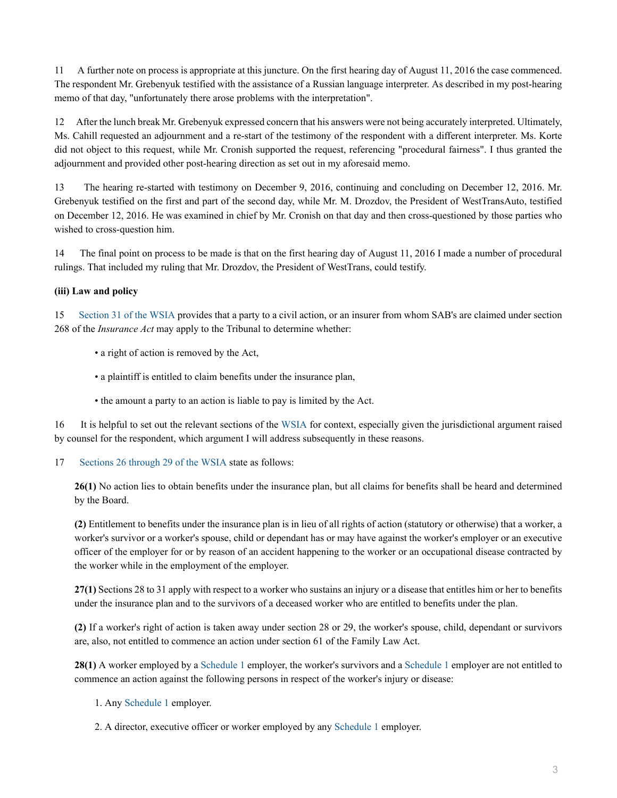11 A further note on process is appropriate at this juncture. On the first hearing day of August 11, 2016 the case commenced. The respondent Mr. Grebenyuk testified with the assistance of a Russian language interpreter. As described in my post-hearing memo of that day, "unfortunately there arose problems with the interpretation".

12 After the lunch break Mr. Grebenyuk expressed concern that his answers were not being accurately interpreted. Ultimately, Ms. Cahill requested an adjournment and a re-start of the testimony of the respondent with a different interpreter. Ms. Korte did not object to this request, while Mr. Cronish supported the request, referencing "procedural fairness". I thus granted the adjournment and provided other post-hearing direction as set out in my aforesaid memo.

13 The hearing re-started with testimony on December 9, 2016, continuing and concluding on December 12, 2016. Mr. Grebenyuk testified on the first and part of the second day, while Mr. M. Drozdov, the President of WestTransAuto, testified on December 12, 2016. He was examined in chief by Mr. Cronish on that day and then cross-questioned by those parties who wished to cross-question him.

14 The final point on process to be made is that on the first hearing day of August 11, 2016 I made a number of procedural rulings. That included my ruling that Mr. Drozdov, the President of WestTrans, could testify.

# **(iii) Law and policy**

15 [Section 31 of the WSIA](http://nextcanada.westlaw.com/Link/Document/FullText?findType=Y&serNum=0280676930&pubNum=135310&originatingDoc=I67f8fb571119453fe0540021280d7cce&refType=IG&docFamilyGuid=Ic93fb4c3f4df11d99f28ffa0ae8c2575&targetPreference=DocLanguage%3aEN&originationContext=document&vr=3.0&rs=cblt1.0&transitionType=DocumentItem&contextData=(sc.Search)) provides that a party to a civil action, or an insurer from whom SAB's are claimed under section 268 of the *Insurance Act* may apply to the Tribunal to determine whether:

- a right of action is removed by the Act,
- a plaintiff is entitled to claim benefits under the insurance plan,
- the amount a party to an action is liable to pay is limited by the Act.

16 It is helpful to set out the relevant sections of the [WSIA](http://nextcanada.westlaw.com/Link/Document/FullText?findType=Y&serNum=0280676917&pubNum=135310&originatingDoc=I67f8fb571119453fe0540021280d7cce&refType=IG&docFamilyGuid=Ic93fb4bbf4df11d99f28ffa0ae8c2575&targetPreference=DocLanguage%3aEN&originationContext=document&vr=3.0&rs=cblt1.0&transitionType=DocumentItem&contextData=(sc.Search)) for context, especially given the jurisdictional argument raised by counsel for the respondent, which argument I will address subsequently in these reasons.

17 [Sections 26 through 29 of the WSIA](http://nextcanada.westlaw.com/Link/Document/FullText?findType=Y&serNum=0280676925&pubNum=135310&originatingDoc=I67f8fb571119453fe0540021280d7cce&refType=IG&docFamilyGuid=I29ff9b51f4dc11d99f28ffa0ae8c2575&targetPreference=DocLanguage%3aEN&originationContext=document&vr=3.0&rs=cblt1.0&transitionType=DocumentItem&contextData=(sc.Search)) state as follows:

**26(1)** No action lies to obtain benefits under the insurance plan, but all claims for benefits shall be heard and determined by the Board.

**(2)** Entitlement to benefits under the insurance plan is in lieu of all rights of action (statutory or otherwise) that a worker, a worker's survivor or a worker's spouse, child or dependant has or may have against the worker's employer or an executive officer of the employer for or by reason of an accident happening to the worker or an occupational disease contracted by the worker while in the employment of the employer.

**27(1)** Sections 28 to 31 apply with respect to a worker who sustains an injury or a disease that entitles him or her to benefits under the insurance plan and to the survivors of a deceased worker who are entitled to benefits under the plan.

**(2)** If a worker's right of action is taken away under section 28 or 29, the worker's spouse, child, dependant or survivors are, also, not entitled to commence an action under section 61 of the Family Law Act.

**28(1)** A worker employed by a [Schedule 1](http://nextcanada.westlaw.com/Link/Document/FullText?findType=Y&serNum=0387206467&pubNum=135352&originatingDoc=I67f8fb571119453fe0540021280d7cce&refType=IG&docFamilyGuid=Id9d5bce7c9bc3303e0440021280d79ee&targetPreference=DocLanguage%3aEN&originationContext=document&vr=3.0&rs=cblt1.0&transitionType=DocumentItem&contextData=(sc.Search)) employer, the worker's survivors and a [Schedule 1](http://nextcanada.westlaw.com/Link/Document/FullText?findType=Y&serNum=0387206467&pubNum=135352&originatingDoc=I67f8fb571119453fe0540021280d7cce&refType=IG&docFamilyGuid=Id9d5bce7c9bc3303e0440021280d79ee&targetPreference=DocLanguage%3aEN&originationContext=document&vr=3.0&rs=cblt1.0&transitionType=DocumentItem&contextData=(sc.Search)) employer are not entitled to commence an action against the following persons in respect of the worker's injury or disease:

1. Any [Schedule 1](http://nextcanada.westlaw.com/Link/Document/FullText?findType=Y&serNum=0387206467&pubNum=135352&originatingDoc=I67f8fb571119453fe0540021280d7cce&refType=IG&docFamilyGuid=Id9d5bce7c9bc3303e0440021280d79ee&targetPreference=DocLanguage%3aEN&originationContext=document&vr=3.0&rs=cblt1.0&transitionType=DocumentItem&contextData=(sc.Search)) employer.

2. A director, executive officer or worker employed by any [Schedule 1](http://nextcanada.westlaw.com/Link/Document/FullText?findType=Y&serNum=0387206467&pubNum=135352&originatingDoc=I67f8fb571119453fe0540021280d7cce&refType=IG&docFamilyGuid=Id9d5bce7c9bc3303e0440021280d79ee&targetPreference=DocLanguage%3aEN&originationContext=document&vr=3.0&rs=cblt1.0&transitionType=DocumentItem&contextData=(sc.Search)) employer.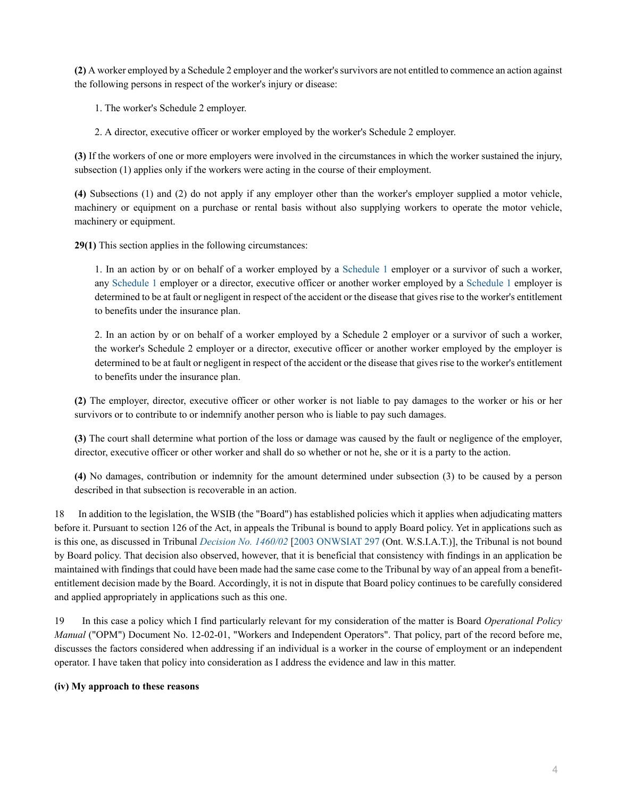**(2)** A worker employed by a Schedule 2 employer and the worker's survivors are not entitled to commence an action against the following persons in respect of the worker's injury or disease:

1. The worker's Schedule 2 employer.

2. A director, executive officer or worker employed by the worker's Schedule 2 employer.

**(3)** If the workers of one or more employers were involved in the circumstances in which the worker sustained the injury, subsection (1) applies only if the workers were acting in the course of their employment.

**(4)** Subsections (1) and (2) do not apply if any employer other than the worker's employer supplied a motor vehicle, machinery or equipment on a purchase or rental basis without also supplying workers to operate the motor vehicle, machinery or equipment.

**29(1)** This section applies in the following circumstances:

1. In an action by or on behalf of a worker employed by a [Schedule 1](http://nextcanada.westlaw.com/Link/Document/FullText?findType=Y&serNum=0387206467&pubNum=135352&originatingDoc=I67f8fb571119453fe0540021280d7cce&refType=IG&docFamilyGuid=Id9d5bce7c9bc3303e0440021280d79ee&targetPreference=DocLanguage%3aEN&originationContext=document&vr=3.0&rs=cblt1.0&transitionType=DocumentItem&contextData=(sc.Search)) employer or a survivor of such a worker, any [Schedule 1](http://nextcanada.westlaw.com/Link/Document/FullText?findType=Y&serNum=0387206467&pubNum=135352&originatingDoc=I67f8fb571119453fe0540021280d7cce&refType=IG&docFamilyGuid=Id9d5bce7c9bc3303e0440021280d79ee&targetPreference=DocLanguage%3aEN&originationContext=document&vr=3.0&rs=cblt1.0&transitionType=DocumentItem&contextData=(sc.Search)) employer or a director, executive officer or another worker employed by a [Schedule 1](http://nextcanada.westlaw.com/Link/Document/FullText?findType=Y&serNum=0387206467&pubNum=135352&originatingDoc=I67f8fb571119453fe0540021280d7cce&refType=IG&docFamilyGuid=Id9d5bce7c9bc3303e0440021280d79ee&targetPreference=DocLanguage%3aEN&originationContext=document&vr=3.0&rs=cblt1.0&transitionType=DocumentItem&contextData=(sc.Search)) employer is determined to be at fault or negligent in respect of the accident or the disease that gives rise to the worker's entitlement to benefits under the insurance plan.

2. In an action by or on behalf of a worker employed by a Schedule 2 employer or a survivor of such a worker, the worker's Schedule 2 employer or a director, executive officer or another worker employed by the employer is determined to be at fault or negligent in respect of the accident or the disease that gives rise to the worker's entitlement to benefits under the insurance plan.

**(2)** The employer, director, executive officer or other worker is not liable to pay damages to the worker or his or her survivors or to contribute to or indemnify another person who is liable to pay such damages.

**(3)** The court shall determine what portion of the loss or damage was caused by the fault or negligence of the employer, director, executive officer or other worker and shall do so whether or not he, she or it is a party to the action.

**(4)** No damages, contribution or indemnity for the amount determined under subsection (3) to be caused by a person described in that subsection is recoverable in an action.

18 In addition to the legislation, the WSIB (the "Board") has established policies which it applies when adjudicating matters before it. Pursuant to section 126 of the Act, in appeals the Tribunal is bound to apply Board policy. Yet in applications such as is this one, as discussed in Tribunal *[Decision No. 1460/02](http://nextcanada.westlaw.com/Link/Document/FullText?findType=Y&pubNum=6407&serNum=2030843372&originationContext=document&transitionType=DocumentItem&vr=3.0&rs=cblt1.0&contextData=(sc.Search))* [[2003 ONWSIAT 297](http://nextcanada.westlaw.com/Link/Document/FullText?findType=Y&pubNum=6407&serNum=2030843372&originationContext=document&transitionType=DocumentItem&vr=3.0&rs=cblt1.0&contextData=(sc.Search)) (Ont. W.S.I.A.T.)], the Tribunal is not bound by Board policy. That decision also observed, however, that it is beneficial that consistency with findings in an application be maintained with findings that could have been made had the same case come to the Tribunal by way of an appeal from a benefitentitlement decision made by the Board. Accordingly, it is not in dispute that Board policy continues to be carefully considered and applied appropriately in applications such as this one.

19 In this case a policy which I find particularly relevant for my consideration of the matter is Board *Operational Policy Manual* ("OPM") Document No. 12-02-01, "Workers and Independent Operators". That policy, part of the record before me, discusses the factors considered when addressing if an individual is a worker in the course of employment or an independent operator. I have taken that policy into consideration as I address the evidence and law in this matter.

## **(iv) My approach to these reasons**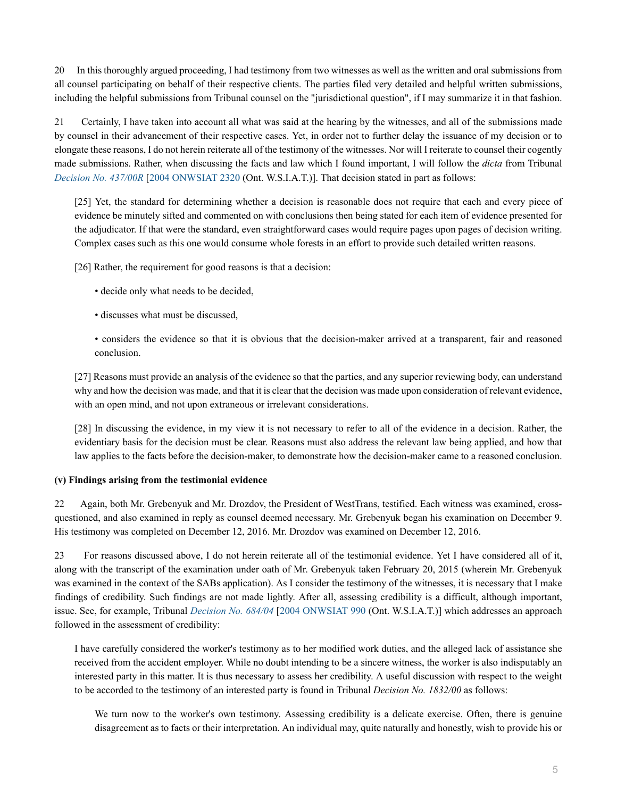20 In this thoroughly argued proceeding, I had testimony from two witnesses as well as the written and oral submissions from all counsel participating on behalf of their respective clients. The parties filed very detailed and helpful written submissions, including the helpful submissions from Tribunal counsel on the "jurisdictional question", if I may summarize it in that fashion.

21 Certainly, I have taken into account all what was said at the hearing by the witnesses, and all of the submissions made by counsel in their advancement of their respective cases. Yet, in order not to further delay the issuance of my decision or to elongate these reasons, I do not herein reiterate all of the testimony of the witnesses. Nor will I reiterate to counsel their cogently made submissions. Rather, when discussing the facts and law which I found important, I will follow the *dicta* from Tribunal *[Decision No. 437/00R](http://nextcanada.westlaw.com/Link/Document/FullText?findType=Y&pubNum=6407&serNum=2010217527&originationContext=document&transitionType=DocumentItem&vr=3.0&rs=cblt1.0&contextData=(sc.Search))* [\[2004 ONWSIAT 2320](http://nextcanada.westlaw.com/Link/Document/FullText?findType=Y&pubNum=6407&serNum=2010217527&originationContext=document&transitionType=DocumentItem&vr=3.0&rs=cblt1.0&contextData=(sc.Search)) (Ont. W.S.I.A.T.)]. That decision stated in part as follows:

[25] Yet, the standard for determining whether a decision is reasonable does not require that each and every piece of evidence be minutely sifted and commented on with conclusions then being stated for each item of evidence presented for the adjudicator. If that were the standard, even straightforward cases would require pages upon pages of decision writing. Complex cases such as this one would consume whole forests in an effort to provide such detailed written reasons.

[26] Rather, the requirement for good reasons is that a decision:

- decide only what needs to be decided,
- discusses what must be discussed,

• considers the evidence so that it is obvious that the decision-maker arrived at a transparent, fair and reasoned conclusion.

[27] Reasons must provide an analysis of the evidence so that the parties, and any superior reviewing body, can understand why and how the decision was made, and that it is clear that the decision was made upon consideration of relevant evidence, with an open mind, and not upon extraneous or irrelevant considerations.

[28] In discussing the evidence, in my view it is not necessary to refer to all of the evidence in a decision. Rather, the evidentiary basis for the decision must be clear. Reasons must also address the relevant law being applied, and how that law applies to the facts before the decision-maker, to demonstrate how the decision-maker came to a reasoned conclusion.

# **(v) Findings arising from the testimonial evidence**

22 Again, both Mr. Grebenyuk and Mr. Drozdov, the President of WestTrans, testified. Each witness was examined, crossquestioned, and also examined in reply as counsel deemed necessary. Mr. Grebenyuk began his examination on December 9. His testimony was completed on December 12, 2016. Mr. Drozdov was examined on December 12, 2016.

23 For reasons discussed above, I do not herein reiterate all of the testimonial evidence. Yet I have considered all of it, along with the transcript of the examination under oath of Mr. Grebenyuk taken February 20, 2015 (wherein Mr. Grebenyuk was examined in the context of the SABs application). As I consider the testimony of the witnesses, it is necessary that I make findings of credibility. Such findings are not made lightly. After all, assessing credibility is a difficult, although important, issue. See, for example, Tribunal *[Decision No. 684/04](http://nextcanada.westlaw.com/Link/Document/FullText?findType=Y&pubNum=6407&serNum=2017189557&originationContext=document&transitionType=DocumentItem&vr=3.0&rs=cblt1.0&contextData=(sc.Search))* [[2004 ONWSIAT 990](http://nextcanada.westlaw.com/Link/Document/FullText?findType=Y&pubNum=6407&serNum=2017189557&originationContext=document&transitionType=DocumentItem&vr=3.0&rs=cblt1.0&contextData=(sc.Search)) (Ont. W.S.I.A.T.)] which addresses an approach followed in the assessment of credibility:

I have carefully considered the worker's testimony as to her modified work duties, and the alleged lack of assistance she received from the accident employer. While no doubt intending to be a sincere witness, the worker is also indisputably an interested party in this matter. It is thus necessary to assess her credibility. A useful discussion with respect to the weight to be accorded to the testimony of an interested party is found in Tribunal *Decision No. 1832/00* as follows:

We turn now to the worker's own testimony. Assessing credibility is a delicate exercise. Often, there is genuine disagreement as to facts or their interpretation. An individual may, quite naturally and honestly, wish to provide his or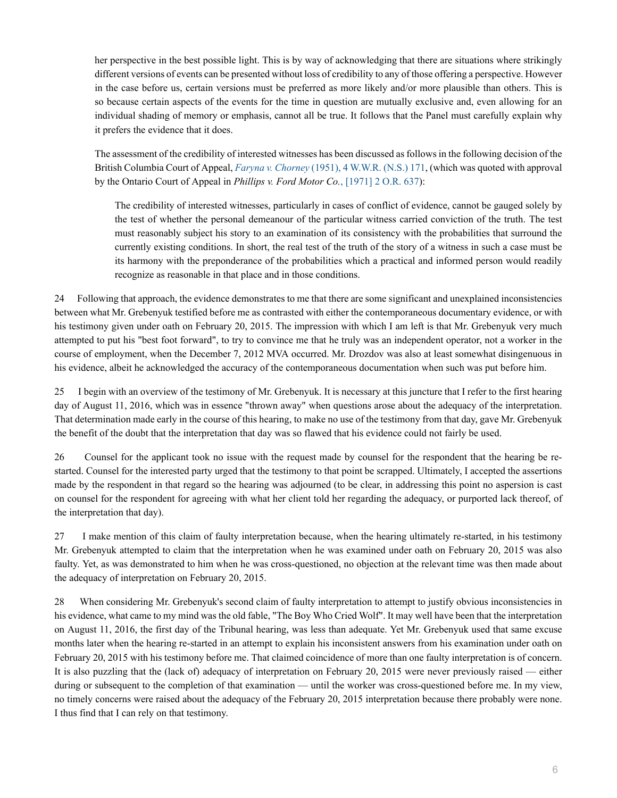her perspective in the best possible light. This is by way of acknowledging that there are situations where strikingly different versions of events can be presented without loss of credibility to any of those offering a perspective. However in the case before us, certain versions must be preferred as more likely and/or more plausible than others. This is so because certain aspects of the events for the time in question are mutually exclusive and, even allowing for an individual shading of memory or emphasis, cannot all be true. It follows that the Panel must carefully explain why it prefers the evidence that it does.

The assessment of the credibility of interested witnesses has been discussed as follows in the following decision of the British Columbia Court of Appeal, *Faryna v. Chorney* [\(1951\), 4 W.W.R. \(N.S.\) 171](http://nextcanada.westlaw.com/Link/Document/FullText?findType=Y&serNum=1951040914&pubNum=0003987&originatingDoc=I67f8fb571119453fe0540021280d7cce&refType=IC&originationContext=document&vr=3.0&rs=cblt1.0&transitionType=DocumentItem&contextData=(sc.Search)), (which was quoted with approval by the Ontario Court of Appeal in *Phillips v. Ford Motor Co.*[, \[1971\] 2 O.R. 637](http://nextcanada.westlaw.com/Link/Document/FullText?findType=Y&pubNum=6407&serNum=1971137535&originationContext=document&transitionType=DocumentItem&vr=3.0&rs=cblt1.0&contextData=(sc.Search))):

The credibility of interested witnesses, particularly in cases of conflict of evidence, cannot be gauged solely by the test of whether the personal demeanour of the particular witness carried conviction of the truth. The test must reasonably subject his story to an examination of its consistency with the probabilities that surround the currently existing conditions. In short, the real test of the truth of the story of a witness in such a case must be its harmony with the preponderance of the probabilities which a practical and informed person would readily recognize as reasonable in that place and in those conditions.

24 Following that approach, the evidence demonstrates to me that there are some significant and unexplained inconsistencies between what Mr. Grebenyuk testified before me as contrasted with either the contemporaneous documentary evidence, or with his testimony given under oath on February 20, 2015. The impression with which I am left is that Mr. Grebenyuk very much attempted to put his "best foot forward", to try to convince me that he truly was an independent operator, not a worker in the course of employment, when the December 7, 2012 MVA occurred. Mr. Drozdov was also at least somewhat disingenuous in his evidence, albeit he acknowledged the accuracy of the contemporaneous documentation when such was put before him.

25 I begin with an overview of the testimony of Mr. Grebenyuk. It is necessary at this juncture that I refer to the first hearing day of August 11, 2016, which was in essence "thrown away" when questions arose about the adequacy of the interpretation. That determination made early in the course of this hearing, to make no use of the testimony from that day, gave Mr. Grebenyuk the benefit of the doubt that the interpretation that day was so flawed that his evidence could not fairly be used.

26 Counsel for the applicant took no issue with the request made by counsel for the respondent that the hearing be restarted. Counsel for the interested party urged that the testimony to that point be scrapped. Ultimately, I accepted the assertions made by the respondent in that regard so the hearing was adjourned (to be clear, in addressing this point no aspersion is cast on counsel for the respondent for agreeing with what her client told her regarding the adequacy, or purported lack thereof, of the interpretation that day).

27 I make mention of this claim of faulty interpretation because, when the hearing ultimately re-started, in his testimony Mr. Grebenyuk attempted to claim that the interpretation when he was examined under oath on February 20, 2015 was also faulty. Yet, as was demonstrated to him when he was cross-questioned, no objection at the relevant time was then made about the adequacy of interpretation on February 20, 2015.

28 When considering Mr. Grebenyuk's second claim of faulty interpretation to attempt to justify obvious inconsistencies in his evidence, what came to my mind was the old fable, "The Boy Who Cried Wolf". It may well have been that the interpretation on August 11, 2016, the first day of the Tribunal hearing, was less than adequate. Yet Mr. Grebenyuk used that same excuse months later when the hearing re-started in an attempt to explain his inconsistent answers from his examination under oath on February 20, 2015 with his testimony before me. That claimed coincidence of more than one faulty interpretation is of concern. It is also puzzling that the (lack of) adequacy of interpretation on February 20, 2015 were never previously raised — either during or subsequent to the completion of that examination — until the worker was cross-questioned before me. In my view, no timely concerns were raised about the adequacy of the February 20, 2015 interpretation because there probably were none. I thus find that I can rely on that testimony.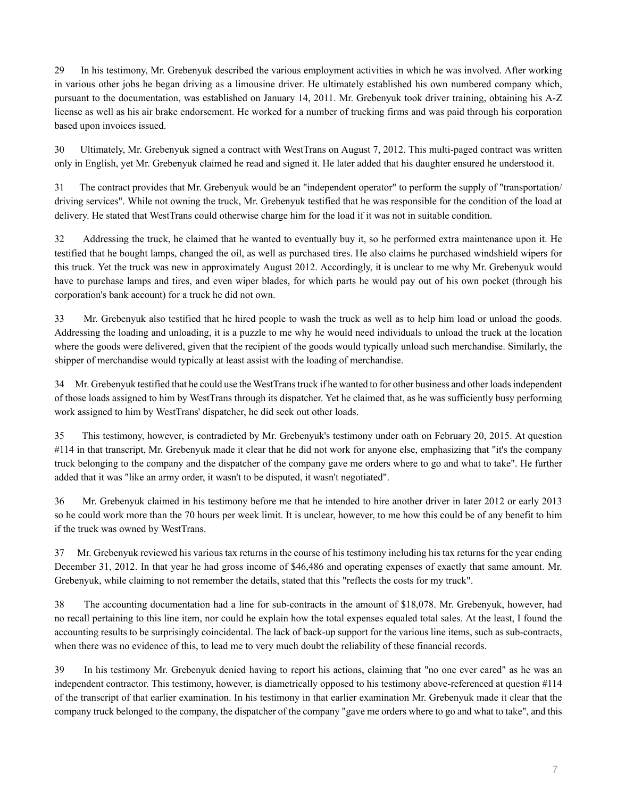29 In his testimony, Mr. Grebenyuk described the various employment activities in which he was involved. After working in various other jobs he began driving as a limousine driver. He ultimately established his own numbered company which, pursuant to the documentation, was established on January 14, 2011. Mr. Grebenyuk took driver training, obtaining his A-Z license as well as his air brake endorsement. He worked for a number of trucking firms and was paid through his corporation based upon invoices issued.

30 Ultimately, Mr. Grebenyuk signed a contract with WestTrans on August 7, 2012. This multi-paged contract was written only in English, yet Mr. Grebenyuk claimed he read and signed it. He later added that his daughter ensured he understood it.

31 The contract provides that Mr. Grebenyuk would be an "independent operator" to perform the supply of "transportation/ driving services". While not owning the truck, Mr. Grebenyuk testified that he was responsible for the condition of the load at delivery. He stated that WestTrans could otherwise charge him for the load if it was not in suitable condition.

32 Addressing the truck, he claimed that he wanted to eventually buy it, so he performed extra maintenance upon it. He testified that he bought lamps, changed the oil, as well as purchased tires. He also claims he purchased windshield wipers for this truck. Yet the truck was new in approximately August 2012. Accordingly, it is unclear to me why Mr. Grebenyuk would have to purchase lamps and tires, and even wiper blades, for which parts he would pay out of his own pocket (through his corporation's bank account) for a truck he did not own.

33 Mr. Grebenyuk also testified that he hired people to wash the truck as well as to help him load or unload the goods. Addressing the loading and unloading, it is a puzzle to me why he would need individuals to unload the truck at the location where the goods were delivered, given that the recipient of the goods would typically unload such merchandise. Similarly, the shipper of merchandise would typically at least assist with the loading of merchandise.

34 Mr. Grebenyuk testified that he could use the WestTrans truck if he wanted to for other business and other loads independent of those loads assigned to him by WestTrans through its dispatcher. Yet he claimed that, as he was sufficiently busy performing work assigned to him by WestTrans' dispatcher, he did seek out other loads.

35 This testimony, however, is contradicted by Mr. Grebenyuk's testimony under oath on February 20, 2015. At question #114 in that transcript, Mr. Grebenyuk made it clear that he did not work for anyone else, emphasizing that "it's the company truck belonging to the company and the dispatcher of the company gave me orders where to go and what to take". He further added that it was "like an army order, it wasn't to be disputed, it wasn't negotiated".

36 Mr. Grebenyuk claimed in his testimony before me that he intended to hire another driver in later 2012 or early 2013 so he could work more than the 70 hours per week limit. It is unclear, however, to me how this could be of any benefit to him if the truck was owned by WestTrans.

37 Mr. Grebenyuk reviewed his various tax returns in the course of his testimony including his tax returns for the year ending December 31, 2012. In that year he had gross income of \$46,486 and operating expenses of exactly that same amount. Mr. Grebenyuk, while claiming to not remember the details, stated that this "reflects the costs for my truck".

38 The accounting documentation had a line for sub-contracts in the amount of \$18,078. Mr. Grebenyuk, however, had no recall pertaining to this line item, nor could he explain how the total expenses equaled total sales. At the least, I found the accounting results to be surprisingly coincidental. The lack of back-up support for the various line items, such as sub-contracts, when there was no evidence of this, to lead me to very much doubt the reliability of these financial records.

39 In his testimony Mr. Grebenyuk denied having to report his actions, claiming that "no one ever cared" as he was an independent contractor. This testimony, however, is diametrically opposed to his testimony above-referenced at question #114 of the transcript of that earlier examination. In his testimony in that earlier examination Mr. Grebenyuk made it clear that the company truck belonged to the company, the dispatcher of the company "gave me orders where to go and what to take", and this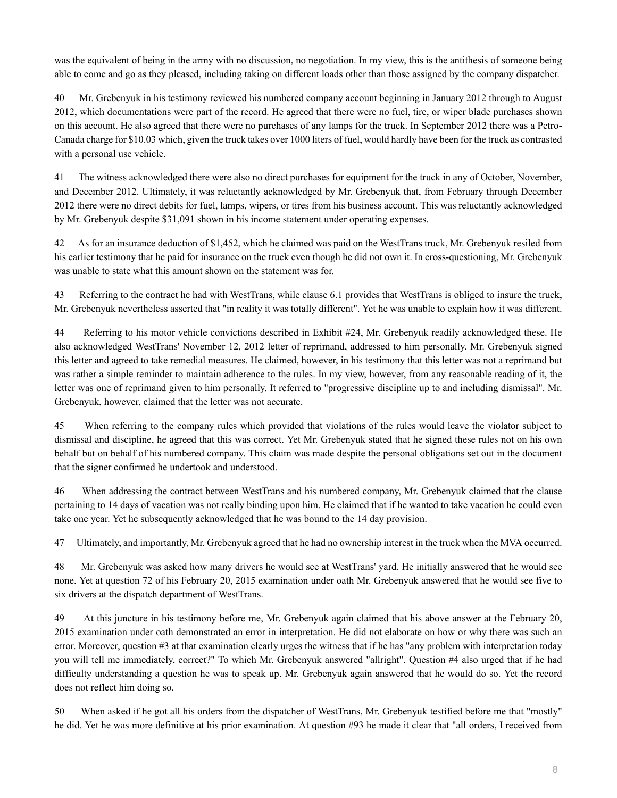was the equivalent of being in the army with no discussion, no negotiation. In my view, this is the antithesis of someone being able to come and go as they pleased, including taking on different loads other than those assigned by the company dispatcher.

40 Mr. Grebenyuk in his testimony reviewed his numbered company account beginning in January 2012 through to August 2012, which documentations were part of the record. He agreed that there were no fuel, tire, or wiper blade purchases shown on this account. He also agreed that there were no purchases of any lamps for the truck. In September 2012 there was a Petro-Canada charge for \$10.03 which, given the truck takes over 1000 liters of fuel, would hardly have been for the truck as contrasted with a personal use vehicle.

41 The witness acknowledged there were also no direct purchases for equipment for the truck in any of October, November, and December 2012. Ultimately, it was reluctantly acknowledged by Mr. Grebenyuk that, from February through December 2012 there were no direct debits for fuel, lamps, wipers, or tires from his business account. This was reluctantly acknowledged by Mr. Grebenyuk despite \$31,091 shown in his income statement under operating expenses.

42 As for an insurance deduction of \$1,452, which he claimed was paid on the WestTrans truck, Mr. Grebenyuk resiled from his earlier testimony that he paid for insurance on the truck even though he did not own it. In cross-questioning, Mr. Grebenyuk was unable to state what this amount shown on the statement was for.

43 Referring to the contract he had with WestTrans, while clause 6.1 provides that WestTrans is obliged to insure the truck, Mr. Grebenyuk nevertheless asserted that "in reality it was totally different". Yet he was unable to explain how it was different.

44 Referring to his motor vehicle convictions described in Exhibit #24, Mr. Grebenyuk readily acknowledged these. He also acknowledged WestTrans' November 12, 2012 letter of reprimand, addressed to him personally. Mr. Grebenyuk signed this letter and agreed to take remedial measures. He claimed, however, in his testimony that this letter was not a reprimand but was rather a simple reminder to maintain adherence to the rules. In my view, however, from any reasonable reading of it, the letter was one of reprimand given to him personally. It referred to "progressive discipline up to and including dismissal". Mr. Grebenyuk, however, claimed that the letter was not accurate.

45 When referring to the company rules which provided that violations of the rules would leave the violator subject to dismissal and discipline, he agreed that this was correct. Yet Mr. Grebenyuk stated that he signed these rules not on his own behalf but on behalf of his numbered company. This claim was made despite the personal obligations set out in the document that the signer confirmed he undertook and understood.

46 When addressing the contract between WestTrans and his numbered company, Mr. Grebenyuk claimed that the clause pertaining to 14 days of vacation was not really binding upon him. He claimed that if he wanted to take vacation he could even take one year. Yet he subsequently acknowledged that he was bound to the 14 day provision.

47 Ultimately, and importantly, Mr. Grebenyuk agreed that he had no ownership interest in the truck when the MVA occurred.

48 Mr. Grebenyuk was asked how many drivers he would see at WestTrans' yard. He initially answered that he would see none. Yet at question 72 of his February 20, 2015 examination under oath Mr. Grebenyuk answered that he would see five to six drivers at the dispatch department of WestTrans.

49 At this juncture in his testimony before me, Mr. Grebenyuk again claimed that his above answer at the February 20, 2015 examination under oath demonstrated an error in interpretation. He did not elaborate on how or why there was such an error. Moreover, question #3 at that examination clearly urges the witness that if he has "any problem with interpretation today you will tell me immediately, correct?" To which Mr. Grebenyuk answered "allright". Question #4 also urged that if he had difficulty understanding a question he was to speak up. Mr. Grebenyuk again answered that he would do so. Yet the record does not reflect him doing so.

50 When asked if he got all his orders from the dispatcher of WestTrans, Mr. Grebenyuk testified before me that "mostly" he did. Yet he was more definitive at his prior examination. At question #93 he made it clear that "all orders, I received from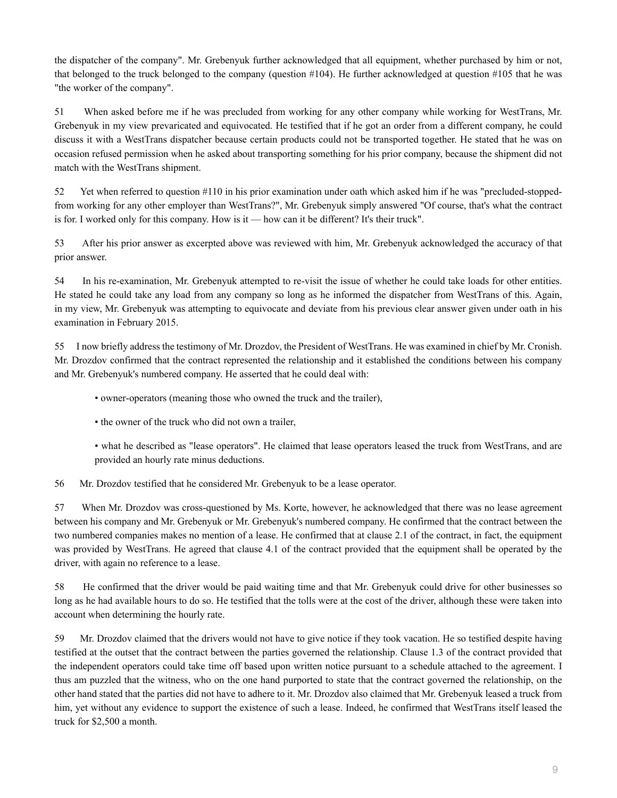the dispatcher of the company". Mr. Grebenyuk further acknowledged that all equipment, whether purchased by him or not, that belonged to the truck belonged to the company (question #104). He further acknowledged at question #105 that he was "the worker of the company".

51 When asked before me if he was precluded from working for any other company while working for WestTrans, Mr. Grebenyuk in my view prevaricated and equivocated. He testified that if he got an order from a different company, he could discuss it with a WestTrans dispatcher because certain products could not be transported together. He stated that he was on occasion refused permission when he asked about transporting something for his prior company, because the shipment did not match with the WestTrans shipment.

52 Yet when referred to question #110 in his prior examination under oath which asked him if he was "precluded-stoppedfrom working for any other employer than WestTrans?", Mr. Grebenyuk simply answered "Of course, that's what the contract is for. I worked only for this company. How is it — how can it be different? It's their truck".

53 After his prior answer as excerpted above was reviewed with him, Mr. Grebenyuk acknowledged the accuracy of that prior answer.

54 In his re-examination, Mr. Grebenyuk attempted to re-visit the issue of whether he could take loads for other entities. He stated he could take any load from any company so long as he informed the dispatcher from WestTrans of this. Again, in my view, Mr. Grebenyuk was attempting to equivocate and deviate from his previous clear answer given under oath in his examination in February 2015.

55 I now briefly address the testimony of Mr. Drozdov, the President of WestTrans. He was examined in chief by Mr. Cronish. Mr. Drozdov confirmed that the contract represented the relationship and it established the conditions between his company and Mr. Grebenyuk's numbered company. He asserted that he could deal with:

- owner-operators (meaning those who owned the truck and the trailer),
- the owner of the truck who did not own a trailer,
- what he described as "lease operators". He claimed that lease operators leased the truck from WestTrans, and are provided an hourly rate minus deductions.
- 56 Mr. Drozdov testified that he considered Mr. Grebenyuk to be a lease operator.

57 When Mr. Drozdov was cross-questioned by Ms. Korte, however, he acknowledged that there was no lease agreement between his company and Mr. Grebenyuk or Mr. Grebenyuk's numbered company. He confirmed that the contract between the two numbered companies makes no mention of a lease. He confirmed that at clause 2.1 of the contract, in fact, the equipment was provided by WestTrans. He agreed that clause 4.1 of the contract provided that the equipment shall be operated by the driver, with again no reference to a lease.

58 He confirmed that the driver would be paid waiting time and that Mr. Grebenyuk could drive for other businesses so long as he had available hours to do so. He testified that the tolls were at the cost of the driver, although these were taken into account when determining the hourly rate.

59 Mr. Drozdov claimed that the drivers would not have to give notice if they took vacation. He so testified despite having testified at the outset that the contract between the parties governed the relationship. Clause 1.3 of the contract provided that the independent operators could take time off based upon written notice pursuant to a schedule attached to the agreement. I thus am puzzled that the witness, who on the one hand purported to state that the contract governed the relationship, on the other hand stated that the parties did not have to adhere to it. Mr. Drozdov also claimed that Mr. Grebenyuk leased a truck from him, yet without any evidence to support the existence of such a lease. Indeed, he confirmed that WestTrans itself leased the truck for \$2,500 a month.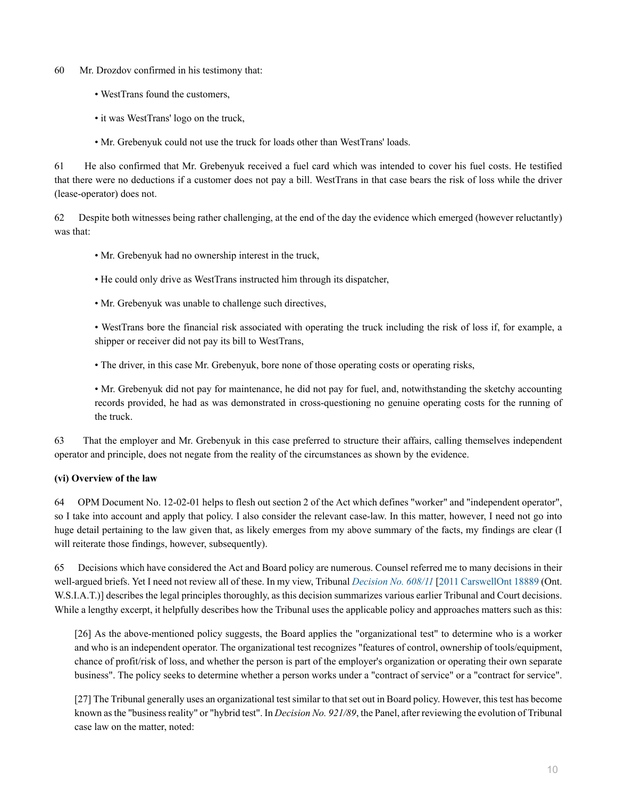60 Mr. Drozdov confirmed in his testimony that:

- WestTrans found the customers,
- it was WestTrans' logo on the truck,
- Mr. Grebenyuk could not use the truck for loads other than WestTrans' loads.

61 He also confirmed that Mr. Grebenyuk received a fuel card which was intended to cover his fuel costs. He testified that there were no deductions if a customer does not pay a bill. WestTrans in that case bears the risk of loss while the driver (lease-operator) does not.

62 Despite both witnesses being rather challenging, at the end of the day the evidence which emerged (however reluctantly) was that:

- Mr. Grebenyuk had no ownership interest in the truck,
- He could only drive as WestTrans instructed him through its dispatcher,
- Mr. Grebenyuk was unable to challenge such directives,

• WestTrans bore the financial risk associated with operating the truck including the risk of loss if, for example, a shipper or receiver did not pay its bill to WestTrans,

• The driver, in this case Mr. Grebenyuk, bore none of those operating costs or operating risks,

• Mr. Grebenyuk did not pay for maintenance, he did not pay for fuel, and, notwithstanding the sketchy accounting records provided, he had as was demonstrated in cross-questioning no genuine operating costs for the running of the truck.

63 That the employer and Mr. Grebenyuk in this case preferred to structure their affairs, calling themselves independent operator and principle, does not negate from the reality of the circumstances as shown by the evidence.

# **(vi) Overview of the law**

64 OPM Document No. 12-02-01 helps to flesh out section 2 of the Act which defines "worker" and "independent operator", so I take into account and apply that policy. I also consider the relevant case-law. In this matter, however, I need not go into huge detail pertaining to the law given that, as likely emerges from my above summary of the facts, my findings are clear (I will reiterate those findings, however, subsequently).

65 Decisions which have considered the Act and Board policy are numerous. Counsel referred me to many decisions in their well-argued briefs. Yet I need not review all of these. In my view, Tribunal *[Decision No. 608/11](http://nextcanada.westlaw.com/Link/Document/FullText?findType=Y&pubNum=6407&serNum=2034590352&originationContext=document&transitionType=DocumentItem&vr=3.0&rs=cblt1.0&contextData=(sc.Search))* [[2011 CarswellOnt 18889](http://nextcanada.westlaw.com/Link/Document/FullText?findType=Y&pubNum=6407&serNum=2034590352&originationContext=document&transitionType=DocumentItem&vr=3.0&rs=cblt1.0&contextData=(sc.Search)) (Ont. W.S.I.A.T.)] describes the legal principles thoroughly, as this decision summarizes various earlier Tribunal and Court decisions. While a lengthy excerpt, it helpfully describes how the Tribunal uses the applicable policy and approaches matters such as this:

[26] As the above-mentioned policy suggests, the Board applies the "organizational test" to determine who is a worker and who is an independent operator. The organizational test recognizes "features of control, ownership of tools/equipment, chance of profit/risk of loss, and whether the person is part of the employer's organization or operating their own separate business". The policy seeks to determine whether a person works under a "contract of service" or a "contract for service".

[27] The Tribunal generally uses an organizational test similar to that set out in Board policy. However, this test has become known as the "business reality" or "hybrid test". In *Decision No. 921/89*, the Panel, after reviewing the evolution of Tribunal case law on the matter, noted: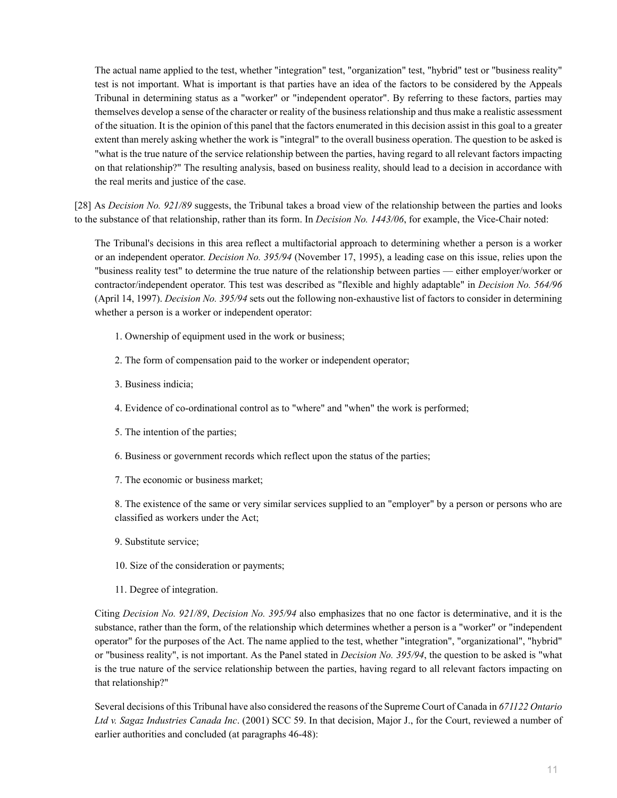The actual name applied to the test, whether "integration" test, "organization" test, "hybrid" test or "business reality" test is not important. What is important is that parties have an idea of the factors to be considered by the Appeals Tribunal in determining status as a "worker" or "independent operator". By referring to these factors, parties may themselves develop a sense of the character or reality of the business relationship and thus make a realistic assessment of the situation. It is the opinion of this panel that the factors enumerated in this decision assist in this goal to a greater extent than merely asking whether the work is "integral" to the overall business operation. The question to be asked is "what is the true nature of the service relationship between the parties, having regard to all relevant factors impacting on that relationship?" The resulting analysis, based on business reality, should lead to a decision in accordance with the real merits and justice of the case.

[28] As *Decision No. 921/89* suggests, the Tribunal takes a broad view of the relationship between the parties and looks to the substance of that relationship, rather than its form. In *Decision No. 1443/06*, for example, the Vice-Chair noted:

The Tribunal's decisions in this area reflect a multifactorial approach to determining whether a person is a worker or an independent operator. *Decision No. 395/94* (November 17, 1995), a leading case on this issue, relies upon the "business reality test" to determine the true nature of the relationship between parties — either employer/worker or contractor/independent operator. This test was described as "flexible and highly adaptable" in *Decision No. 564/96* (April 14, 1997). *Decision No. 395/94* sets out the following non-exhaustive list of factors to consider in determining whether a person is a worker or independent operator:

- 1. Ownership of equipment used in the work or business;
- 2. The form of compensation paid to the worker or independent operator;
- 3. Business indicia;
- 4. Evidence of co-ordinational control as to "where" and "when" the work is performed;
- 5. The intention of the parties;
- 6. Business or government records which reflect upon the status of the parties;
- 7. The economic or business market;

8. The existence of the same or very similar services supplied to an "employer" by a person or persons who are classified as workers under the Act;

- 9. Substitute service;
- 10. Size of the consideration or payments;
- 11. Degree of integration.

Citing *Decision No. 921/89*, *Decision No. 395/94* also emphasizes that no one factor is determinative, and it is the substance, rather than the form, of the relationship which determines whether a person is a "worker" or "independent operator" for the purposes of the Act. The name applied to the test, whether "integration", "organizational", "hybrid" or "business reality", is not important. As the Panel stated in *Decision No. 395/94*, the question to be asked is "what is the true nature of the service relationship between the parties, having regard to all relevant factors impacting on that relationship?"

Several decisions of this Tribunal have also considered the reasons of the Supreme Court of Canada in *671122 Ontario Ltd v. Sagaz Industries Canada Inc*. (2001) SCC 59. In that decision, Major J., for the Court, reviewed a number of earlier authorities and concluded (at paragraphs 46-48):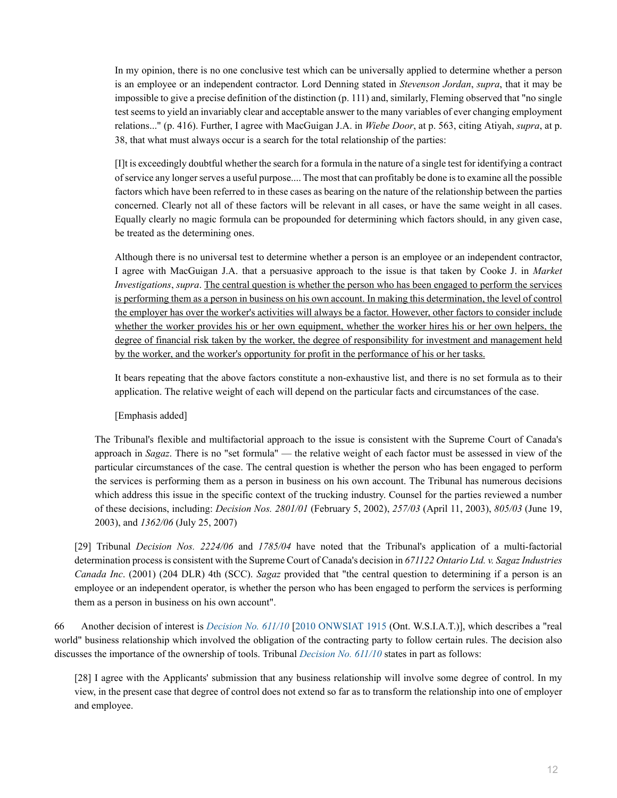In my opinion, there is no one conclusive test which can be universally applied to determine whether a person is an employee or an independent contractor. Lord Denning stated in *Stevenson Jordan*, *supra*, that it may be impossible to give a precise definition of the distinction (p. 111) and, similarly, Fleming observed that "no single test seems to yield an invariably clear and acceptable answer to the many variables of ever changing employment relations..." (p. 416). Further, I agree with MacGuigan J.A. in *Wiebe Door*, at p. 563, citing Atiyah, *supra*, at p. 38, that what must always occur is a search for the total relationship of the parties:

[I]t is exceedingly doubtful whether the search for a formula in the nature of a single test for identifying a contract of service any longer serves a useful purpose.... The most that can profitably be done is to examine all the possible factors which have been referred to in these cases as bearing on the nature of the relationship between the parties concerned. Clearly not all of these factors will be relevant in all cases, or have the same weight in all cases. Equally clearly no magic formula can be propounded for determining which factors should, in any given case, be treated as the determining ones.

Although there is no universal test to determine whether a person is an employee or an independent contractor, I agree with MacGuigan J.A. that a persuasive approach to the issue is that taken by Cooke J. in *Market Investigations*, *supra*. The central question is whether the person who has been engaged to perform the services is performing them as a person in business on his own account. In making this determination, the level of control the employer has over the worker's activities will always be a factor. However, other factors to consider include whether the worker provides his or her own equipment, whether the worker hires his or her own helpers, the degree of financial risk taken by the worker, the degree of responsibility for investment and management held by the worker, and the worker's opportunity for profit in the performance of his or her tasks.

It bears repeating that the above factors constitute a non-exhaustive list, and there is no set formula as to their application. The relative weight of each will depend on the particular facts and circumstances of the case.

[Emphasis added]

The Tribunal's flexible and multifactorial approach to the issue is consistent with the Supreme Court of Canada's approach in *Sagaz*. There is no "set formula" — the relative weight of each factor must be assessed in view of the particular circumstances of the case. The central question is whether the person who has been engaged to perform the services is performing them as a person in business on his own account. The Tribunal has numerous decisions which address this issue in the specific context of the trucking industry. Counsel for the parties reviewed a number of these decisions, including: *Decision Nos. 2801/01* (February 5, 2002), *257/03* (April 11, 2003), *805/03* (June 19, 2003), and *1362/06* (July 25, 2007)

[29] Tribunal *Decision Nos. 2224/06* and *1785/04* have noted that the Tribunal's application of a multi-factorial determination process is consistent with the Supreme Court of Canada's decision in *671122 Ontario Ltd. v. Sagaz Industries Canada Inc*. (2001) (204 DLR) 4th (SCC). *Sagaz* provided that "the central question to determining if a person is an employee or an independent operator, is whether the person who has been engaged to perform the services is performing them as a person in business on his own account".

66 Another decision of interest is *[Decision No. 611/10](http://nextcanada.westlaw.com/Link/Document/FullText?findType=Y&pubNum=6407&serNum=2042218878&originationContext=document&transitionType=DocumentItem&vr=3.0&rs=cblt1.0&contextData=(sc.Search))* [\[2010 ONWSIAT 1915](http://nextcanada.westlaw.com/Link/Document/FullText?findType=Y&pubNum=6407&serNum=2042218878&originationContext=document&transitionType=DocumentItem&vr=3.0&rs=cblt1.0&contextData=(sc.Search)) (Ont. W.S.I.A.T.)], which describes a "real world" business relationship which involved the obligation of the contracting party to follow certain rules. The decision also discusses the importance of the ownership of tools. Tribunal *[Decision No. 611/10](http://nextcanada.westlaw.com/Link/Document/FullText?findType=Y&pubNum=6407&serNum=2042218878&originationContext=document&transitionType=DocumentItem&vr=3.0&rs=cblt1.0&contextData=(sc.Search))* states in part as follows:

[28] I agree with the Applicants' submission that any business relationship will involve some degree of control. In my view, in the present case that degree of control does not extend so far as to transform the relationship into one of employer and employee.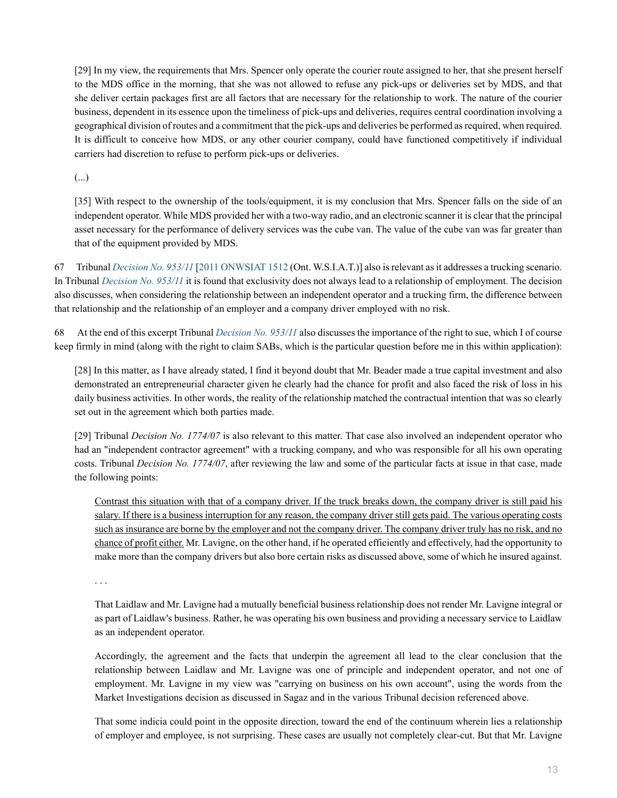[29] In my view, the requirements that Mrs. Spencer only operate the courier route assigned to her, that she present herself to the MDS office in the morning, that she was not allowed to refuse any pick-ups or deliveries set by MDS, and that she deliver certain packages first are all factors that are necessary for the relationship to work. The nature of the courier business, dependent in its essence upon the timeliness of pick-ups and deliveries, requires central coordination involving a geographical division of routes and a commitment that the pick-ups and deliveries be performed as required, when required. It is difficult to conceive how MDS, or any other courier company, could have functioned competitively if individual carriers had discretion to refuse to perform pick-ups or deliveries.

(...)

[35] With respect to the ownership of the tools/equipment, it is my conclusion that Mrs. Spencer falls on the side of an independent operator. While MDS provided her with a two-way radio, and an electronic scanner it is clear that the principal asset necessary for the performance of delivery services was the cube van. The value of the cube van was far greater than that of the equipment provided by MDS.

67 Tribunal *[Decision No. 953/11](http://nextcanada.westlaw.com/Link/Document/FullText?findType=Y&pubNum=6407&serNum=2041522026&originationContext=document&transitionType=DocumentItem&vr=3.0&rs=cblt1.0&contextData=(sc.Search))* [[2011 ONWSIAT 1512](http://nextcanada.westlaw.com/Link/Document/FullText?findType=Y&pubNum=6407&serNum=2041522026&originationContext=document&transitionType=DocumentItem&vr=3.0&rs=cblt1.0&contextData=(sc.Search)) (Ont. W.S.I.A.T.)] also is relevant as it addresses a trucking scenario. In Tribunal *[Decision No. 953/11](http://nextcanada.westlaw.com/Link/Document/FullText?findType=Y&pubNum=6407&serNum=2041522026&originationContext=document&transitionType=DocumentItem&vr=3.0&rs=cblt1.0&contextData=(sc.Search))* it is found that exclusivity does not always lead to a relationship of employment. The decision also discusses, when considering the relationship between an independent operator and a trucking firm, the difference between that relationship and the relationship of an employer and a company driver employed with no risk.

68 At the end of this excerpt Tribunal *[Decision No. 953/11](http://nextcanada.westlaw.com/Link/Document/FullText?findType=Y&pubNum=6407&serNum=2041522026&originationContext=document&transitionType=DocumentItem&vr=3.0&rs=cblt1.0&contextData=(sc.Search))* also discusses the importance of the right to sue, which I of course keep firmly in mind (along with the right to claim SABs, which is the particular question before me in this within application):

[28] In this matter, as I have already stated, I find it beyond doubt that Mr. Beader made a true capital investment and also demonstrated an entrepreneurial character given he clearly had the chance for profit and also faced the risk of loss in his daily business activities. In other words, the reality of the relationship matched the contractual intention that was so clearly set out in the agreement which both parties made.

[29] Tribunal *Decision No. 1774/07* is also relevant to this matter. That case also involved an independent operator who had an "independent contractor agreement" with a trucking company, and who was responsible for all his own operating costs. Tribunal *Decision No. 1774/07*, after reviewing the law and some of the particular facts at issue in that case, made the following points:

Contrast this situation with that of a company driver. If the truck breaks down, the company driver is still paid his salary. If there is a business interruption for any reason, the company driver still gets paid. The various operating costs such as insurance are borne by the employer and not the company driver. The company driver truly has no risk, and no chance of profit either. Mr. Lavigne, on the other hand, if he operated efficiently and effectively, had the opportunity to make more than the company drivers but also bore certain risks as discussed above, some of which he insured against.

. . .

That Laidlaw and Mr. Lavigne had a mutually beneficial business relationship does not render Mr. Lavigne integral or as part of Laidlaw's business. Rather, he was operating his own business and providing a necessary service to Laidlaw as an independent operator.

Accordingly, the agreement and the facts that underpin the agreement all lead to the clear conclusion that the relationship between Laidlaw and Mr. Lavigne was one of principle and independent operator, and not one of employment. Mr. Lavigne in my view was "carrying on business on his own account", using the words from the Market Investigations decision as discussed in Sagaz and in the various Tribunal decision referenced above.

That some indicia could point in the opposite direction, toward the end of the continuum wherein lies a relationship of employer and employee, is not surprising. These cases are usually not completely clear-cut. But that Mr. Lavigne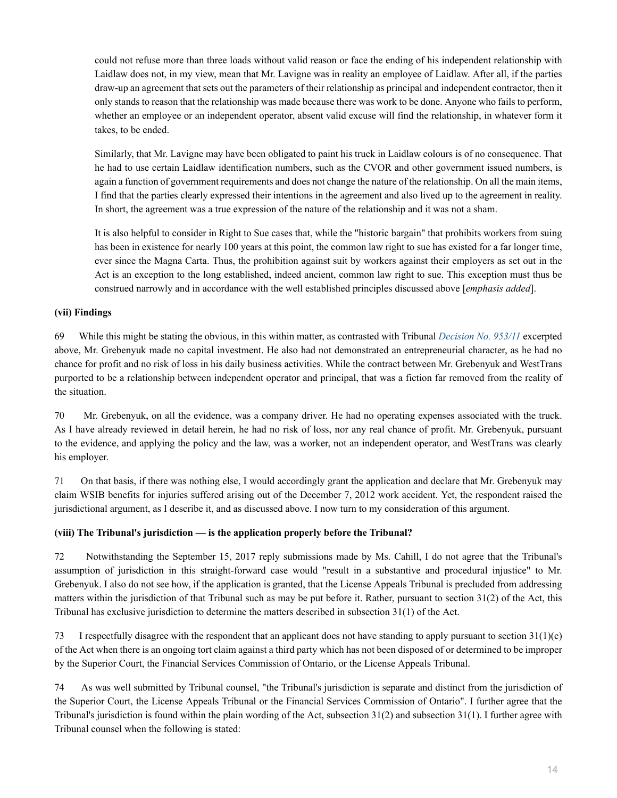could not refuse more than three loads without valid reason or face the ending of his independent relationship with Laidlaw does not, in my view, mean that Mr. Lavigne was in reality an employee of Laidlaw. After all, if the parties draw-up an agreement that sets out the parameters of their relationship as principal and independent contractor, then it only stands to reason that the relationship was made because there was work to be done. Anyone who fails to perform, whether an employee or an independent operator, absent valid excuse will find the relationship, in whatever form it takes, to be ended.

Similarly, that Mr. Lavigne may have been obligated to paint his truck in Laidlaw colours is of no consequence. That he had to use certain Laidlaw identification numbers, such as the CVOR and other government issued numbers, is again a function of government requirements and does not change the nature of the relationship. On all the main items, I find that the parties clearly expressed their intentions in the agreement and also lived up to the agreement in reality. In short, the agreement was a true expression of the nature of the relationship and it was not a sham.

It is also helpful to consider in Right to Sue cases that, while the "historic bargain" that prohibits workers from suing has been in existence for nearly 100 years at this point, the common law right to sue has existed for a far longer time, ever since the Magna Carta. Thus, the prohibition against suit by workers against their employers as set out in the Act is an exception to the long established, indeed ancient, common law right to sue. This exception must thus be construed narrowly and in accordance with the well established principles discussed above [*emphasis added*].

## **(vii) Findings**

69 While this might be stating the obvious, in this within matter, as contrasted with Tribunal *[Decision No. 953/11](http://nextcanada.westlaw.com/Link/Document/FullText?findType=Y&pubNum=6407&serNum=2041522026&originationContext=document&transitionType=DocumentItem&vr=3.0&rs=cblt1.0&contextData=(sc.Search))* excerpted above, Mr. Grebenyuk made no capital investment. He also had not demonstrated an entrepreneurial character, as he had no chance for profit and no risk of loss in his daily business activities. While the contract between Mr. Grebenyuk and WestTrans purported to be a relationship between independent operator and principal, that was a fiction far removed from the reality of the situation.

70 Mr. Grebenyuk, on all the evidence, was a company driver. He had no operating expenses associated with the truck. As I have already reviewed in detail herein, he had no risk of loss, nor any real chance of profit. Mr. Grebenyuk, pursuant to the evidence, and applying the policy and the law, was a worker, not an independent operator, and WestTrans was clearly his employer.

71 On that basis, if there was nothing else, I would accordingly grant the application and declare that Mr. Grebenyuk may claim WSIB benefits for injuries suffered arising out of the December 7, 2012 work accident. Yet, the respondent raised the jurisdictional argument, as I describe it, and as discussed above. I now turn to my consideration of this argument.

### **(viii) The Tribunal's jurisdiction — is the application properly before the Tribunal?**

72 Notwithstanding the September 15, 2017 reply submissions made by Ms. Cahill, I do not agree that the Tribunal's assumption of jurisdiction in this straight-forward case would "result in a substantive and procedural injustice" to Mr. Grebenyuk. I also do not see how, if the application is granted, that the License Appeals Tribunal is precluded from addressing matters within the jurisdiction of that Tribunal such as may be put before it. Rather, pursuant to section 31(2) of the Act, this Tribunal has exclusive jurisdiction to determine the matters described in subsection 31(1) of the Act.

73 I respectfully disagree with the respondent that an applicant does not have standing to apply pursuant to section 31(1)(c) of the Act when there is an ongoing tort claim against a third party which has not been disposed of or determined to be improper by the Superior Court, the Financial Services Commission of Ontario, or the License Appeals Tribunal.

74 As was well submitted by Tribunal counsel, "the Tribunal's jurisdiction is separate and distinct from the jurisdiction of the Superior Court, the License Appeals Tribunal or the Financial Services Commission of Ontario". I further agree that the Tribunal's jurisdiction is found within the plain wording of the Act, subsection 31(2) and subsection 31(1). I further agree with Tribunal counsel when the following is stated: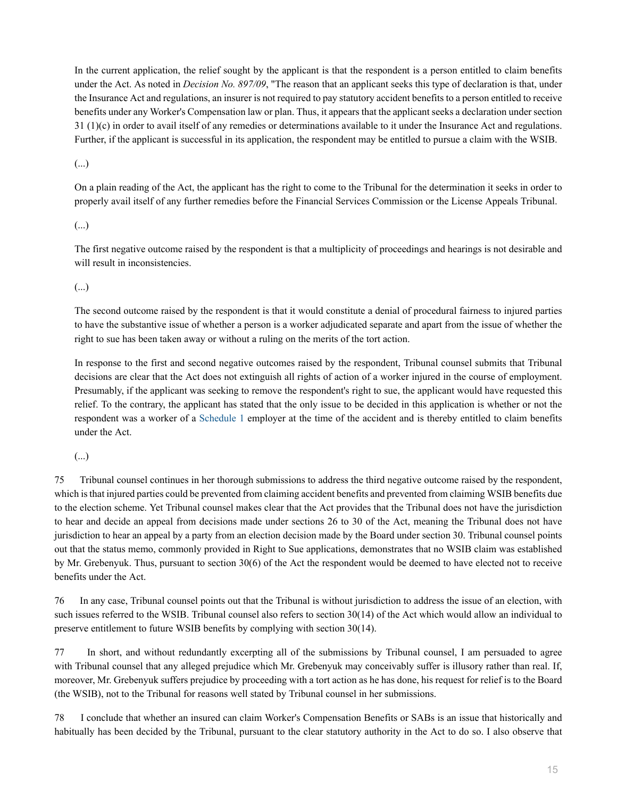In the current application, the relief sought by the applicant is that the respondent is a person entitled to claim benefits under the Act. As noted in *Decision No. 897/09*, "The reason that an applicant seeks this type of declaration is that, under the Insurance Act and regulations, an insurer is not required to pay statutory accident benefits to a person entitled to receive benefits under any Worker's Compensation law or plan. Thus, it appears that the applicant seeks a declaration under section 31 (1)(c) in order to avail itself of any remedies or determinations available to it under the Insurance Act and regulations. Further, if the applicant is successful in its application, the respondent may be entitled to pursue a claim with the WSIB.

(...)

On a plain reading of the Act, the applicant has the right to come to the Tribunal for the determination it seeks in order to properly avail itself of any further remedies before the Financial Services Commission or the License Appeals Tribunal.

(...)

The first negative outcome raised by the respondent is that a multiplicity of proceedings and hearings is not desirable and will result in inconsistencies.

(...)

The second outcome raised by the respondent is that it would constitute a denial of procedural fairness to injured parties to have the substantive issue of whether a person is a worker adjudicated separate and apart from the issue of whether the right to sue has been taken away or without a ruling on the merits of the tort action.

In response to the first and second negative outcomes raised by the respondent, Tribunal counsel submits that Tribunal decisions are clear that the Act does not extinguish all rights of action of a worker injured in the course of employment. Presumably, if the applicant was seeking to remove the respondent's right to sue, the applicant would have requested this relief. To the contrary, the applicant has stated that the only issue to be decided in this application is whether or not the respondent was a worker of a [Schedule 1](http://nextcanada.westlaw.com/Link/Document/FullText?findType=Y&serNum=0387206467&pubNum=135352&originatingDoc=I67f8fb571119453fe0540021280d7cce&refType=IG&docFamilyGuid=Id9d5bce7c9bc3303e0440021280d79ee&targetPreference=DocLanguage%3aEN&originationContext=document&vr=3.0&rs=cblt1.0&transitionType=DocumentItem&contextData=(sc.Search)) employer at the time of the accident and is thereby entitled to claim benefits under the Act.

(...)

75 Tribunal counsel continues in her thorough submissions to address the third negative outcome raised by the respondent, which is that injured parties could be prevented from claiming accident benefits and prevented from claiming WSIB benefits due to the election scheme. Yet Tribunal counsel makes clear that the Act provides that the Tribunal does not have the jurisdiction to hear and decide an appeal from decisions made under sections 26 to 30 of the Act, meaning the Tribunal does not have jurisdiction to hear an appeal by a party from an election decision made by the Board under section 30. Tribunal counsel points out that the status memo, commonly provided in Right to Sue applications, demonstrates that no WSIB claim was established by Mr. Grebenyuk. Thus, pursuant to section 30(6) of the Act the respondent would be deemed to have elected not to receive benefits under the Act.

76 In any case, Tribunal counsel points out that the Tribunal is without jurisdiction to address the issue of an election, with such issues referred to the WSIB. Tribunal counsel also refers to section 30(14) of the Act which would allow an individual to preserve entitlement to future WSIB benefits by complying with section 30(14).

77 In short, and without redundantly excerpting all of the submissions by Tribunal counsel, I am persuaded to agree with Tribunal counsel that any alleged prejudice which Mr. Grebenyuk may conceivably suffer is illusory rather than real. If, moreover, Mr. Grebenyuk suffers prejudice by proceeding with a tort action as he has done, his request for relief is to the Board (the WSIB), not to the Tribunal for reasons well stated by Tribunal counsel in her submissions.

78 I conclude that whether an insured can claim Worker's Compensation Benefits or SABs is an issue that historically and habitually has been decided by the Tribunal, pursuant to the clear statutory authority in the Act to do so. I also observe that